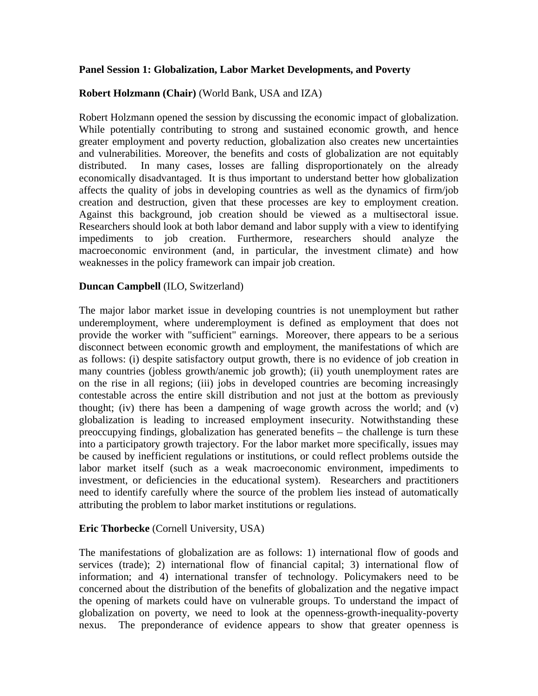### **Panel Session 1: Globalization, Labor Market Developments, and Poverty**

# **Robert Holzmann (Chair)** (World Bank, USA and IZA)

Robert Holzmann opened the session by discussing the economic impact of globalization. While potentially contributing to strong and sustained economic growth, and hence greater employment and poverty reduction, globalization also creates new uncertainties and vulnerabilities. Moreover, the benefits and costs of globalization are not equitably distributed. In many cases, losses are falling disproportionately on the already economically disadvantaged. It is thus important to understand better how globalization affects the quality of jobs in developing countries as well as the dynamics of firm/job creation and destruction, given that these processes are key to employment creation. Against this background, job creation should be viewed as a multisectoral issue. Researchers should look at both labor demand and labor supply with a view to identifying impediments to job creation. Furthermore, researchers should analyze the macroeconomic environment (and, in particular, the investment climate) and how weaknesses in the policy framework can impair job creation.

### **Duncan Campbell** (ILO, Switzerland)

The major labor market issue in developing countries is not unemployment but rather underemployment, where underemployment is defined as employment that does not provide the worker with "sufficient" earnings. Moreover, there appears to be a serious disconnect between economic growth and employment, the manifestations of which are as follows: (i) despite satisfactory output growth, there is no evidence of job creation in many countries (jobless growth/anemic job growth); (ii) youth unemployment rates are on the rise in all regions; (iii) jobs in developed countries are becoming increasingly contestable across the entire skill distribution and not just at the bottom as previously thought; (iv) there has been a dampening of wage growth across the world; and (v) globalization is leading to increased employment insecurity. Notwithstanding these preoccupying findings, globalization has generated benefits – the challenge is turn these into a participatory growth trajectory. For the labor market more specifically, issues may be caused by inefficient regulations or institutions, or could reflect problems outside the labor market itself (such as a weak macroeconomic environment, impediments to investment, or deficiencies in the educational system). Researchers and practitioners need to identify carefully where the source of the problem lies instead of automatically attributing the problem to labor market institutions or regulations.

### **Eric Thorbecke** (Cornell University, USA)

The manifestations of globalization are as follows: 1) international flow of goods and services (trade); 2) international flow of financial capital; 3) international flow of information; and 4) international transfer of technology. Policymakers need to be concerned about the distribution of the benefits of globalization and the negative impact the opening of markets could have on vulnerable groups. To understand the impact of globalization on poverty, we need to look at the openness-growth-inequality-poverty nexus. The preponderance of evidence appears to show that greater openness is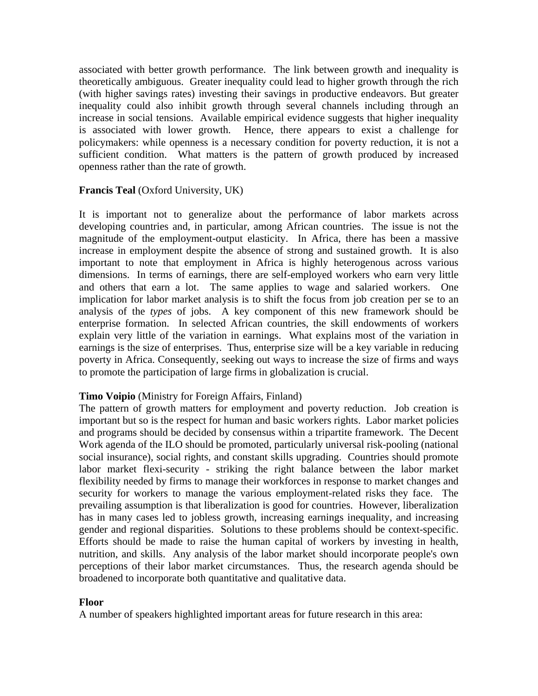associated with better growth performance. The link between growth and inequality is theoretically ambiguous. Greater inequality could lead to higher growth through the rich (with higher savings rates) investing their savings in productive endeavors. But greater inequality could also inhibit growth through several channels including through an increase in social tensions. Available empirical evidence suggests that higher inequality is associated with lower growth. Hence, there appears to exist a challenge for policymakers: while openness is a necessary condition for poverty reduction, it is not a sufficient condition. What matters is the pattern of growth produced by increased openness rather than the rate of growth.

# **Francis Teal** (Oxford University, UK)

It is important not to generalize about the performance of labor markets across developing countries and, in particular, among African countries. The issue is not the magnitude of the employment-output elasticity. In Africa, there has been a massive increase in employment despite the absence of strong and sustained growth. It is also important to note that employment in Africa is highly heterogenous across various dimensions. In terms of earnings, there are self-employed workers who earn very little and others that earn a lot. The same applies to wage and salaried workers. One implication for labor market analysis is to shift the focus from job creation per se to an analysis of the *types* of jobs. A key component of this new framework should be enterprise formation. In selected African countries, the skill endowments of workers explain very little of the variation in earnings. What explains most of the variation in earnings is the size of enterprises. Thus, enterprise size will be a key variable in reducing poverty in Africa. Consequently, seeking out ways to increase the size of firms and ways to promote the participation of large firms in globalization is crucial.

# **Timo Voipio** (Ministry for Foreign Affairs, Finland)

The pattern of growth matters for employment and poverty reduction. Job creation is important but so is the respect for human and basic workers rights. Labor market policies and programs should be decided by consensus within a tripartite framework. The Decent Work agenda of the ILO should be promoted, particularly universal risk-pooling (national social insurance), social rights, and constant skills upgrading. Countries should promote labor market flexi-security - striking the right balance between the labor market flexibility needed by firms to manage their workforces in response to market changes and security for workers to manage the various employment-related risks they face. The prevailing assumption is that liberalization is good for countries. However, liberalization has in many cases led to jobless growth, increasing earnings inequality, and increasing gender and regional disparities. Solutions to these problems should be context-specific. Efforts should be made to raise the human capital of workers by investing in health, nutrition, and skills. Any analysis of the labor market should incorporate people's own perceptions of their labor market circumstances. Thus, the research agenda should be broadened to incorporate both quantitative and qualitative data.

### **Floor**

A number of speakers highlighted important areas for future research in this area: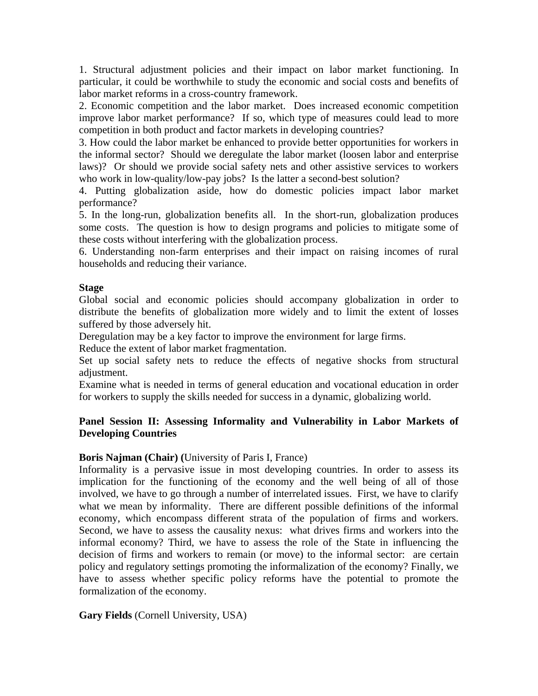1. Structural adjustment policies and their impact on labor market functioning. In particular, it could be worthwhile to study the economic and social costs and benefits of labor market reforms in a cross-country framework.

2. Economic competition and the labor market. Does increased economic competition improve labor market performance? If so, which type of measures could lead to more competition in both product and factor markets in developing countries?

3. How could the labor market be enhanced to provide better opportunities for workers in the informal sector? Should we deregulate the labor market (loosen labor and enterprise laws)? Or should we provide social safety nets and other assistive services to workers who work in low-quality/low-pay jobs? Is the latter a second-best solution?

4. Putting globalization aside, how do domestic policies impact labor market performance?

5. In the long-run, globalization benefits all. In the short-run, globalization produces some costs. The question is how to design programs and policies to mitigate some of these costs without interfering with the globalization process.

6. Understanding non-farm enterprises and their impact on raising incomes of rural households and reducing their variance.

# **Stage**

Global social and economic policies should accompany globalization in order to distribute the benefits of globalization more widely and to limit the extent of losses suffered by those adversely hit.

Deregulation may be a key factor to improve the environment for large firms.

Reduce the extent of labor market fragmentation.

Set up social safety nets to reduce the effects of negative shocks from structural adjustment.

Examine what is needed in terms of general education and vocational education in order for workers to supply the skills needed for success in a dynamic, globalizing world.

# **Panel Session II: Assessing Informality and Vulnerability in Labor Markets of Developing Countries**

# **Boris Najman (Chair) (**University of Paris I, France)

Informality is a pervasive issue in most developing countries. In order to assess its implication for the functioning of the economy and the well being of all of those involved, we have to go through a number of interrelated issues. First, we have to clarify what we mean by informality. There are different possible definitions of the informal economy, which encompass different strata of the population of firms and workers. Second, we have to assess the causality nexus: what drives firms and workers into the informal economy? Third, we have to assess the role of the State in influencing the decision of firms and workers to remain (or move) to the informal sector: are certain policy and regulatory settings promoting the informalization of the economy? Finally, we have to assess whether specific policy reforms have the potential to promote the formalization of the economy.

**Gary Fields** (Cornell University, USA)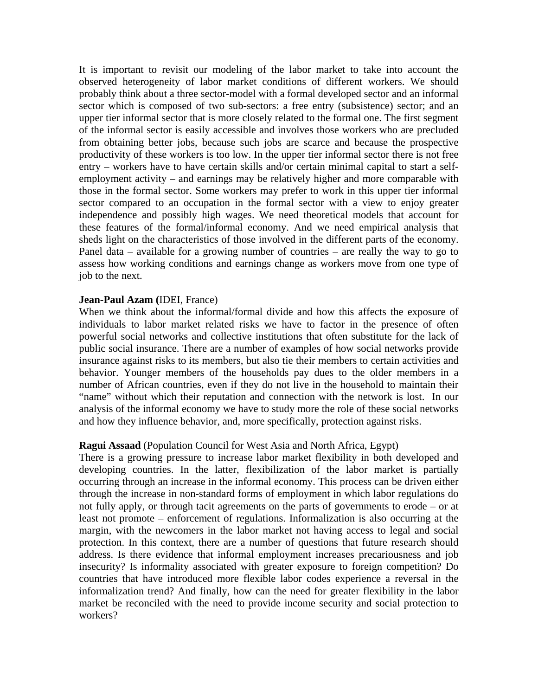It is important to revisit our modeling of the labor market to take into account the observed heterogeneity of labor market conditions of different workers. We should probably think about a three sector-model with a formal developed sector and an informal sector which is composed of two sub-sectors: a free entry (subsistence) sector; and an upper tier informal sector that is more closely related to the formal one. The first segment of the informal sector is easily accessible and involves those workers who are precluded from obtaining better jobs, because such jobs are scarce and because the prospective productivity of these workers is too low. In the upper tier informal sector there is not free entry – workers have to have certain skills and/or certain minimal capital to start a selfemployment activity – and earnings may be relatively higher and more comparable with those in the formal sector. Some workers may prefer to work in this upper tier informal sector compared to an occupation in the formal sector with a view to enjoy greater independence and possibly high wages. We need theoretical models that account for these features of the formal/informal economy. And we need empirical analysis that sheds light on the characteristics of those involved in the different parts of the economy. Panel data – available for a growing number of countries – are really the way to go to assess how working conditions and earnings change as workers move from one type of job to the next.

#### **Jean-Paul Azam (**IDEI, France)

When we think about the informal/formal divide and how this affects the exposure of individuals to labor market related risks we have to factor in the presence of often powerful social networks and collective institutions that often substitute for the lack of public social insurance. There are a number of examples of how social networks provide insurance against risks to its members, but also tie their members to certain activities and behavior. Younger members of the households pay dues to the older members in a number of African countries, even if they do not live in the household to maintain their "name" without which their reputation and connection with the network is lost. In our analysis of the informal economy we have to study more the role of these social networks and how they influence behavior, and, more specifically, protection against risks.

#### **Ragui Assaad** (Population Council for West Asia and North Africa, Egypt)

There is a growing pressure to increase labor market flexibility in both developed and developing countries. In the latter, flexibilization of the labor market is partially occurring through an increase in the informal economy. This process can be driven either through the increase in non-standard forms of employment in which labor regulations do not fully apply, or through tacit agreements on the parts of governments to erode – or at least not promote – enforcement of regulations. Informalization is also occurring at the margin, with the newcomers in the labor market not having access to legal and social protection. In this context, there are a number of questions that future research should address. Is there evidence that informal employment increases precariousness and job insecurity? Is informality associated with greater exposure to foreign competition? Do countries that have introduced more flexible labor codes experience a reversal in the informalization trend? And finally, how can the need for greater flexibility in the labor market be reconciled with the need to provide income security and social protection to workers?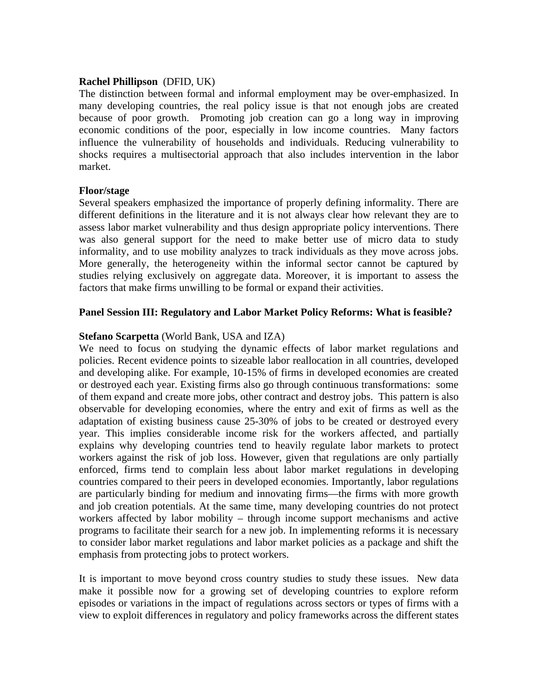#### **Rachel Phillipson** (DFID, UK)

The distinction between formal and informal employment may be over-emphasized. In many developing countries, the real policy issue is that not enough jobs are created because of poor growth. Promoting job creation can go a long way in improving economic conditions of the poor, especially in low income countries. Many factors influence the vulnerability of households and individuals. Reducing vulnerability to shocks requires a multisectorial approach that also includes intervention in the labor market.

#### **Floor/stage**

Several speakers emphasized the importance of properly defining informality. There are different definitions in the literature and it is not always clear how relevant they are to assess labor market vulnerability and thus design appropriate policy interventions. There was also general support for the need to make better use of micro data to study informality, and to use mobility analyzes to track individuals as they move across jobs. More generally, the heterogeneity within the informal sector cannot be captured by studies relying exclusively on aggregate data. Moreover, it is important to assess the factors that make firms unwilling to be formal or expand their activities.

#### **Panel Session III: Regulatory and Labor Market Policy Reforms: What is feasible?**

### **Stefano Scarpetta** (World Bank, USA and IZA)

We need to focus on studying the dynamic effects of labor market regulations and policies. Recent evidence points to sizeable labor reallocation in all countries, developed and developing alike. For example, 10-15% of firms in developed economies are created or destroyed each year. Existing firms also go through continuous transformations: some of them expand and create more jobs, other contract and destroy jobs. This pattern is also observable for developing economies, where the entry and exit of firms as well as the adaptation of existing business cause 25-30% of jobs to be created or destroyed every year. This implies considerable income risk for the workers affected, and partially explains why developing countries tend to heavily regulate labor markets to protect workers against the risk of job loss. However, given that regulations are only partially enforced, firms tend to complain less about labor market regulations in developing countries compared to their peers in developed economies. Importantly, labor regulations are particularly binding for medium and innovating firms—the firms with more growth and job creation potentials. At the same time, many developing countries do not protect workers affected by labor mobility – through income support mechanisms and active programs to facilitate their search for a new job. In implementing reforms it is necessary to consider labor market regulations and labor market policies as a package and shift the emphasis from protecting jobs to protect workers.

It is important to move beyond cross country studies to study these issues. New data make it possible now for a growing set of developing countries to explore reform episodes or variations in the impact of regulations across sectors or types of firms with a view to exploit differences in regulatory and policy frameworks across the different states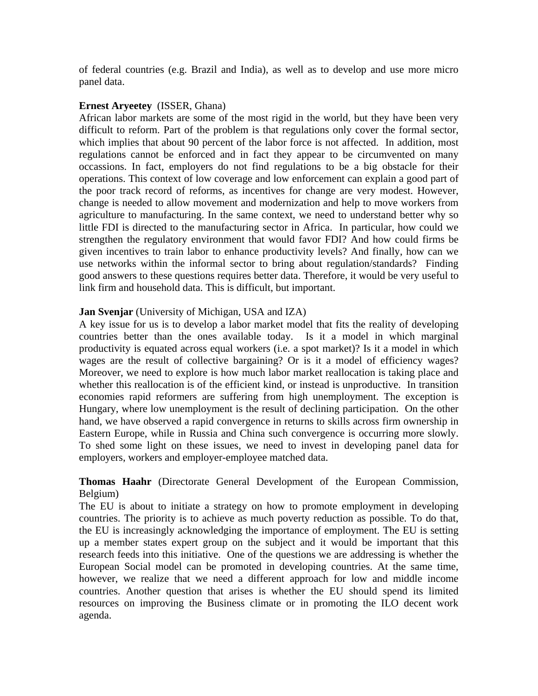of federal countries (e.g. Brazil and India), as well as to develop and use more micro panel data.

### **Ernest Aryeetey** (ISSER, Ghana)

African labor markets are some of the most rigid in the world, but they have been very difficult to reform. Part of the problem is that regulations only cover the formal sector, which implies that about 90 percent of the labor force is not affected. In addition, most regulations cannot be enforced and in fact they appear to be circumvented on many occassions. In fact, employers do not find regulations to be a big obstacle for their operations. This context of low coverage and low enforcement can explain a good part of the poor track record of reforms, as incentives for change are very modest. However, change is needed to allow movement and modernization and help to move workers from agriculture to manufacturing. In the same context, we need to understand better why so little FDI is directed to the manufacturing sector in Africa. In particular, how could we strengthen the regulatory environment that would favor FDI? And how could firms be given incentives to train labor to enhance productivity levels? And finally, how can we use networks within the informal sector to bring about regulation/standards? Finding good answers to these questions requires better data. Therefore, it would be very useful to link firm and household data. This is difficult, but important.

# **Jan Svenjar** (University of Michigan, USA and IZA)

A key issue for us is to develop a labor market model that fits the reality of developing countries better than the ones available today. Is it a model in which marginal productivity is equated across equal workers (i.e. a spot market)? Is it a model in which wages are the result of collective bargaining? Or is it a model of efficiency wages? Moreover, we need to explore is how much labor market reallocation is taking place and whether this reallocation is of the efficient kind, or instead is unproductive. In transition economies rapid reformers are suffering from high unemployment. The exception is Hungary, where low unemployment is the result of declining participation. On the other hand, we have observed a rapid convergence in returns to skills across firm ownership in Eastern Europe, while in Russia and China such convergence is occurring more slowly. To shed some light on these issues, we need to invest in developing panel data for employers, workers and employer-employee matched data.

# **Thomas Haahr** (Directorate General Development of the European Commission, Belgium)

The EU is about to initiate a strategy on how to promote employment in developing countries. The priority is to achieve as much poverty reduction as possible. To do that, the EU is increasingly acknowledging the importance of employment. The EU is setting up a member states expert group on the subject and it would be important that this research feeds into this initiative. One of the questions we are addressing is whether the European Social model can be promoted in developing countries. At the same time, however, we realize that we need a different approach for low and middle income countries. Another question that arises is whether the EU should spend its limited resources on improving the Business climate or in promoting the ILO decent work agenda.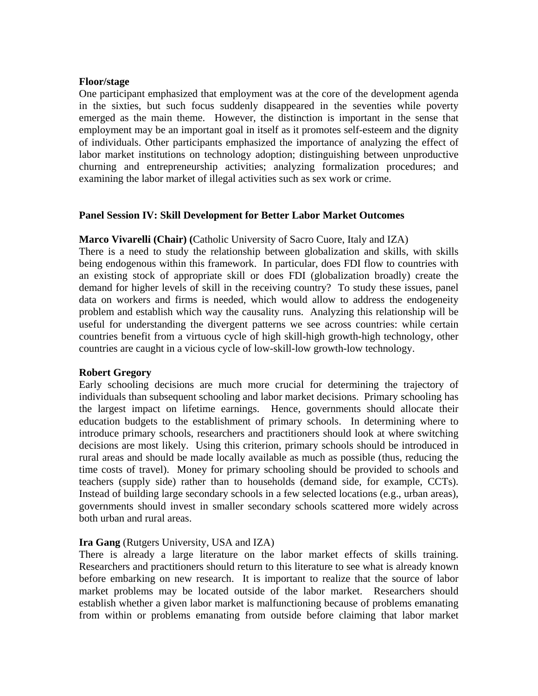#### **Floor/stage**

One participant emphasized that employment was at the core of the development agenda in the sixties, but such focus suddenly disappeared in the seventies while poverty emerged as the main theme. However, the distinction is important in the sense that employment may be an important goal in itself as it promotes self-esteem and the dignity of individuals. Other participants emphasized the importance of analyzing the effect of labor market institutions on technology adoption; distinguishing between unproductive churning and entrepreneurship activities; analyzing formalization procedures; and examining the labor market of illegal activities such as sex work or crime.

### **Panel Session IV: Skill Development for Better Labor Market Outcomes**

#### **Marco Vivarelli (Chair) (**Catholic University of Sacro Cuore, Italy and IZA)

There is a need to study the relationship between globalization and skills, with skills being endogenous within this framework. In particular, does FDI flow to countries with an existing stock of appropriate skill or does FDI (globalization broadly) create the demand for higher levels of skill in the receiving country? To study these issues, panel data on workers and firms is needed, which would allow to address the endogeneity problem and establish which way the causality runs. Analyzing this relationship will be useful for understanding the divergent patterns we see across countries: while certain countries benefit from a virtuous cycle of high skill-high growth-high technology, other countries are caught in a vicious cycle of low-skill-low growth-low technology.

### **Robert Gregory**

Early schooling decisions are much more crucial for determining the trajectory of individuals than subsequent schooling and labor market decisions. Primary schooling has the largest impact on lifetime earnings. Hence, governments should allocate their education budgets to the establishment of primary schools. In determining where to introduce primary schools, researchers and practitioners should look at where switching decisions are most likely. Using this criterion, primary schools should be introduced in rural areas and should be made locally available as much as possible (thus, reducing the time costs of travel). Money for primary schooling should be provided to schools and teachers (supply side) rather than to households (demand side, for example, CCTs). Instead of building large secondary schools in a few selected locations (e.g., urban areas), governments should invest in smaller secondary schools scattered more widely across both urban and rural areas.

### **Ira Gang** (Rutgers University, USA and IZA)

There is already a large literature on the labor market effects of skills training. Researchers and practitioners should return to this literature to see what is already known before embarking on new research. It is important to realize that the source of labor market problems may be located outside of the labor market. Researchers should establish whether a given labor market is malfunctioning because of problems emanating from within or problems emanating from outside before claiming that labor market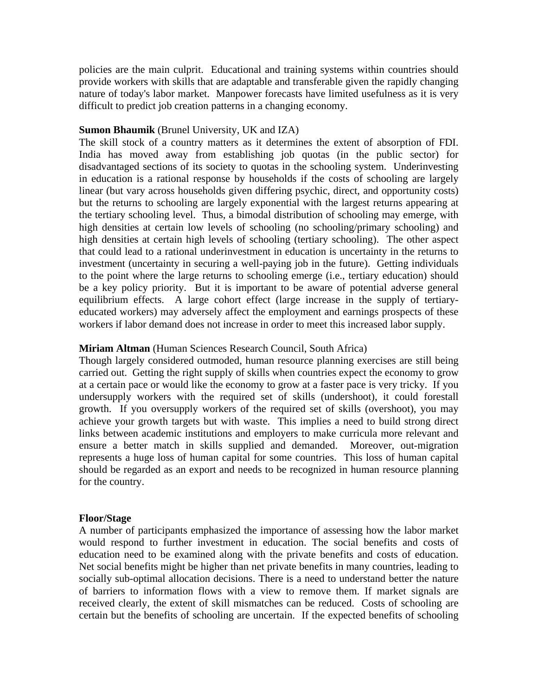policies are the main culprit. Educational and training systems within countries should provide workers with skills that are adaptable and transferable given the rapidly changing nature of today's labor market. Manpower forecasts have limited usefulness as it is very difficult to predict job creation patterns in a changing economy.

#### **Sumon Bhaumik** (Brunel University, UK and IZA)

The skill stock of a country matters as it determines the extent of absorption of FDI. India has moved away from establishing job quotas (in the public sector) for disadvantaged sections of its society to quotas in the schooling system. Underinvesting in education is a rational response by households if the costs of schooling are largely linear (but vary across households given differing psychic, direct, and opportunity costs) but the returns to schooling are largely exponential with the largest returns appearing at the tertiary schooling level. Thus, a bimodal distribution of schooling may emerge, with high densities at certain low levels of schooling (no schooling/primary schooling) and high densities at certain high levels of schooling (tertiary schooling). The other aspect that could lead to a rational underinvestment in education is uncertainty in the returns to investment (uncertainty in securing a well-paying job in the future). Getting individuals to the point where the large returns to schooling emerge (i.e., tertiary education) should be a key policy priority. But it is important to be aware of potential adverse general equilibrium effects. A large cohort effect (large increase in the supply of tertiaryeducated workers) may adversely affect the employment and earnings prospects of these workers if labor demand does not increase in order to meet this increased labor supply.

#### **Miriam Altman** (Human Sciences Research Council, South Africa)

Though largely considered outmoded, human resource planning exercises are still being carried out. Getting the right supply of skills when countries expect the economy to grow at a certain pace or would like the economy to grow at a faster pace is very tricky. If you undersupply workers with the required set of skills (undershoot), it could forestall growth. If you oversupply workers of the required set of skills (overshoot), you may achieve your growth targets but with waste. This implies a need to build strong direct links between academic institutions and employers to make curricula more relevant and ensure a better match in skills supplied and demanded. Moreover, out-migration represents a huge loss of human capital for some countries. This loss of human capital should be regarded as an export and needs to be recognized in human resource planning for the country.

### **Floor/Stage**

A number of participants emphasized the importance of assessing how the labor market would respond to further investment in education. The social benefits and costs of education need to be examined along with the private benefits and costs of education. Net social benefits might be higher than net private benefits in many countries, leading to socially sub-optimal allocation decisions. There is a need to understand better the nature of barriers to information flows with a view to remove them. If market signals are received clearly, the extent of skill mismatches can be reduced. Costs of schooling are certain but the benefits of schooling are uncertain. If the expected benefits of schooling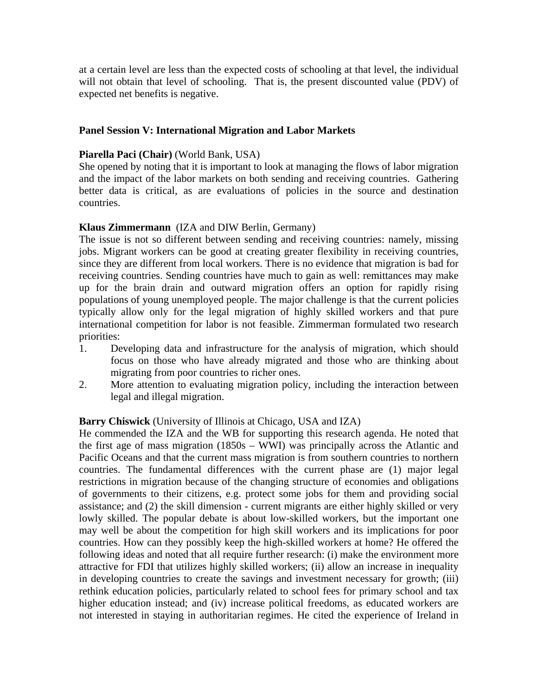at a certain level are less than the expected costs of schooling at that level, the individual will not obtain that level of schooling. That is, the present discounted value (PDV) of expected net benefits is negative.

### **Panel Session V: International Migration and Labor Markets**

### **Piarella Paci (Chair)** (World Bank, USA)

She opened by noting that it is important to look at managing the flows of labor migration and the impact of the labor markets on both sending and receiving countries. Gathering better data is critical, as are evaluations of policies in the source and destination countries.

# **Klaus Zimmermann** (IZA and DIW Berlin, Germany)

The issue is not so different between sending and receiving countries: namely, missing jobs. Migrant workers can be good at creating greater flexibility in receiving countries, since they are different from local workers. There is no evidence that migration is bad for receiving countries. Sending countries have much to gain as well: remittances may make up for the brain drain and outward migration offers an option for rapidly rising populations of young unemployed people. The major challenge is that the current policies typically allow only for the legal migration of highly skilled workers and that pure international competition for labor is not feasible. Zimmerman formulated two research priorities:

- 1. Developing data and infrastructure for the analysis of migration, which should focus on those who have already migrated and those who are thinking about migrating from poor countries to richer ones.
- 2. More attention to evaluating migration policy, including the interaction between legal and illegal migration.

### **Barry Chiswick** (University of Illinois at Chicago, USA and IZA)

He commended the IZA and the WB for supporting this research agenda. He noted that the first age of mass migration (1850s – WWI) was principally across the Atlantic and Pacific Oceans and that the current mass migration is from southern countries to northern countries. The fundamental differences with the current phase are (1) major legal restrictions in migration because of the changing structure of economies and obligations of governments to their citizens, e.g. protect some jobs for them and providing social assistance; and (2) the skill dimension - current migrants are either highly skilled or very lowly skilled. The popular debate is about low-skilled workers, but the important one may well be about the competition for high skill workers and its implications for poor countries. How can they possibly keep the high-skilled workers at home? He offered the following ideas and noted that all require further research: (i) make the environment more attractive for FDI that utilizes highly skilled workers; (ii) allow an increase in inequality in developing countries to create the savings and investment necessary for growth; (iii) rethink education policies, particularly related to school fees for primary school and tax higher education instead; and (iv) increase political freedoms, as educated workers are not interested in staying in authoritarian regimes. He cited the experience of Ireland in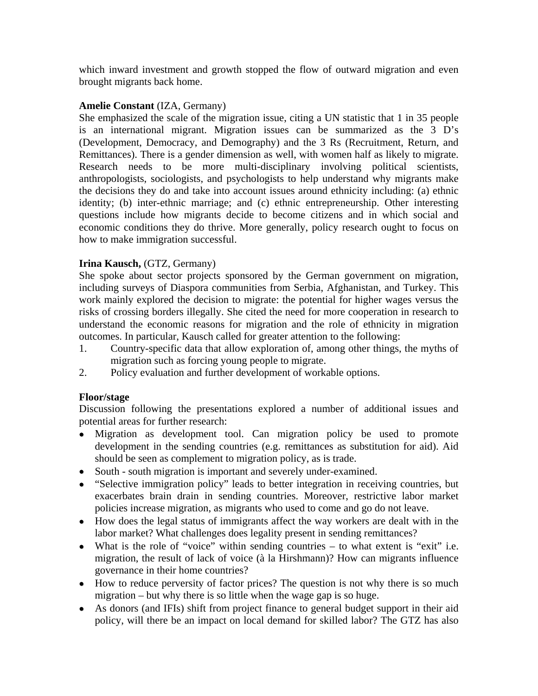which inward investment and growth stopped the flow of outward migration and even brought migrants back home.

### **Amelie Constant** (IZA, Germany)

She emphasized the scale of the migration issue, citing a UN statistic that 1 in 35 people is an international migrant. Migration issues can be summarized as the 3 D's (Development, Democracy, and Demography) and the 3 Rs (Recruitment, Return, and Remittances). There is a gender dimension as well, with women half as likely to migrate. Research needs to be more multi-disciplinary involving political scientists, anthropologists, sociologists, and psychologists to help understand why migrants make the decisions they do and take into account issues around ethnicity including: (a) ethnic identity; (b) inter-ethnic marriage; and (c) ethnic entrepreneurship. Other interesting questions include how migrants decide to become citizens and in which social and economic conditions they do thrive. More generally, policy research ought to focus on how to make immigration successful.

# **Irina Kausch,** (GTZ, Germany)

She spoke about sector projects sponsored by the German government on migration, including surveys of Diaspora communities from Serbia, Afghanistan, and Turkey. This work mainly explored the decision to migrate: the potential for higher wages versus the risks of crossing borders illegally. She cited the need for more cooperation in research to understand the economic reasons for migration and the role of ethnicity in migration outcomes. In particular, Kausch called for greater attention to the following:

- 1. Country-specific data that allow exploration of, among other things, the myths of migration such as forcing young people to migrate.
- 2. Policy evaluation and further development of workable options.

### **Floor/stage**

Discussion following the presentations explored a number of additional issues and potential areas for further research:

- Migration as development tool. Can migration policy be used to promote development in the sending countries (e.g. remittances as substitution for aid). Aid should be seen as complement to migration policy, as is trade.
- South south migration is important and severely under-examined.
- "Selective immigration policy" leads to better integration in receiving countries, but exacerbates brain drain in sending countries. Moreover, restrictive labor market policies increase migration, as migrants who used to come and go do not leave.
- How does the legal status of immigrants affect the way workers are dealt with in the labor market? What challenges does legality present in sending remittances?
- What is the role of "voice" within sending countries to what extent is "exit" i.e. migration, the result of lack of voice (à la Hirshmann)? How can migrants influence governance in their home countries?
- How to reduce perversity of factor prices? The question is not why there is so much migration – but why there is so little when the wage gap is so huge.
- As donors (and IFIs) shift from project finance to general budget support in their aid policy, will there be an impact on local demand for skilled labor? The GTZ has also